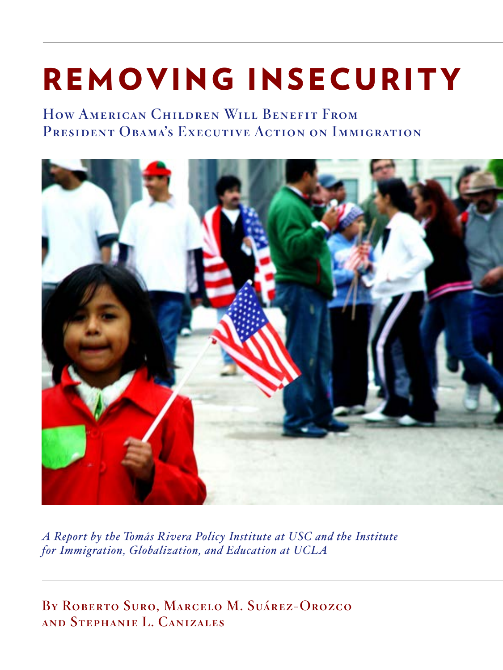# REMOVING INSECURITY

How American Children Will Benefit From PRESIDENT OBAMA'S EXECUTIVE ACTION ON IMMIGRATION



*A Report by the Tomás Rivera Policy Institute at USC and the Institute for Immigration, Globalization, and Education at UCLA*

By Roberto Suro, Marcelo M. Suárez-Orozco and Stephanie L. Canizales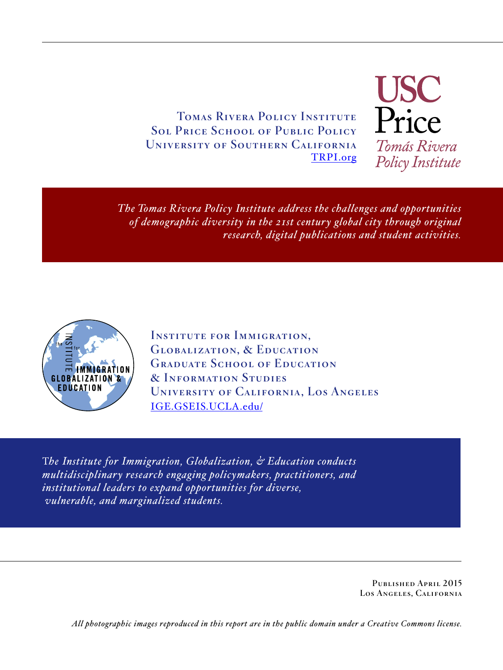Tomas Rivera Policy Institute Sol Price School of Public Policy University of Southern California [TRPI.org](http://TRPI.org) **USC**<br>Price Tomás Rivera Policy Institute

*The Tomas Rivera Policy Institute address the challenges and opportunities of demographic diversity in the 21st century global city through original research, digital publications and student activities.*



INSTITUTE FOR IMMIGRATION. Globalization, & Education GRADUATE SCHOOL OF EDUCATION & Information Studies University of California, Los Angeles [IGE.GSEIS.UCLA.edu/](http://ige.gseis.ucla.edu/)

T*he Institute for Immigration, Globalization, & Education conducts multidisciplinary research engaging policymakers, practitioners, and institutional leaders to expand opportunities for diverse, vulnerable, and marginalized students.*

> Published April 2015 Los Angeles, California

*All photographic images reproduced in this report are in the public domain under a Creative Commons license.*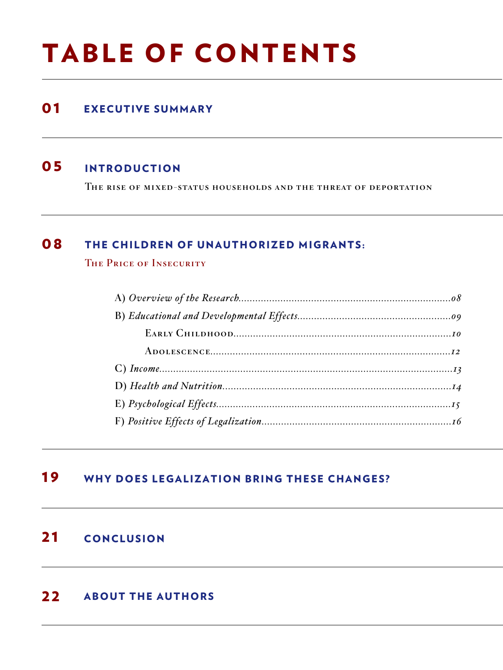## TABLE OF CONTENTS

### **01** EXECUTIVE SUMMARY

#### 05 INTRODUCTION

The rise of mixed-status households and the threat of deportation

#### 08 THE CHILDREN OF UNAUTHORIZED MIGRANTS:

THE PRICE OF INSECURITY

### **19** WHY DOES LEGALIZATION BRING THESE CHANGES?

#### 21 CONCLUSION

### 22 ABOUT THE AUTHORS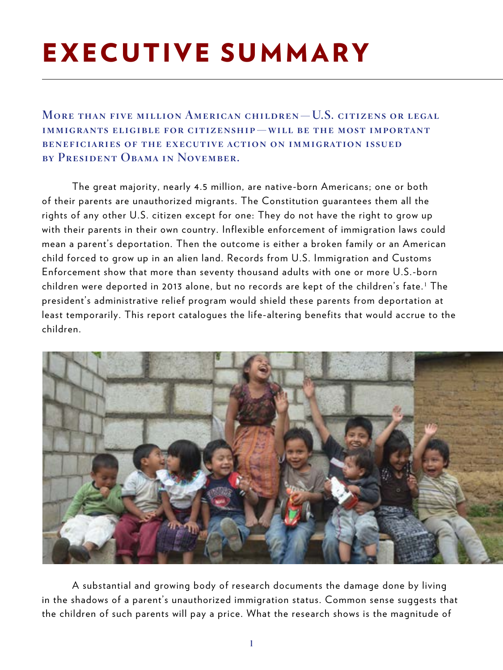## EXECUTIVE SUMMARY

More than five million American children—U.S. citizens or legal immigrants eligible for citizenship—will be the most important beneficiaries of the executive action on immigration issued by President Obama in November.

The great majority, nearly 4.5 million, are native-born Americans; one or both of their parents are unauthorized migrants. The Constitution guarantees them all the rights of any other U.S. citizen except for one: They do not have the right to grow up with their parents in their own country. Inflexible enforcement of immigration laws could mean a parent's deportation. Then the outcome is either a broken family or an American child forced to grow up in an alien land. Records from U.S. Immigration and Customs Enforcement show that more than seventy thousand adults with one or more U.S.-born children were deported in 2013 alone, but no records are kept of the children's fate. $^{\rm 1}$  The president's administrative relief program would shield these parents from deportation at least temporarily. This report catalogues the life-altering benefits that would accrue to the children.



A substantial and growing body of research documents the damage done by living in the shadows of a parent's unauthorized immigration status. Common sense suggests that the children of such parents will pay a price. What the research shows is the magnitude of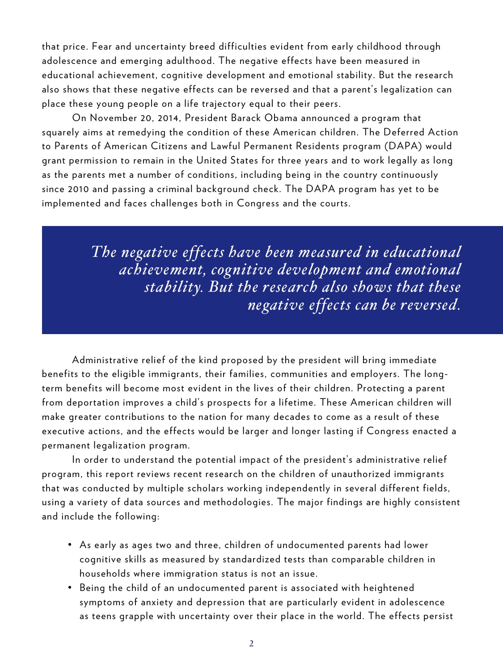that price. Fear and uncertainty breed difficulties evident from early childhood through adolescence and emerging adulthood. The negative effects have been measured in educational achievement, cognitive development and emotional stability. But the research also shows that these negative effects can be reversed and that a parent's legalization can place these young people on a life trajectory equal to their peers.

On November 20, 2014, President Barack Obama announced a program that squarely aims at remedying the condition of these American children. The Deferred Action to Parents of American Citizens and Lawful Permanent Residents program (DAPA) would grant permission to remain in the United States for three years and to work legally as long as the parents met a number of conditions, including being in the country continuously since 2010 and passing a criminal background check. The DAPA program has yet to be implemented and faces challenges both in Congress and the courts.

> *The negative effects have been measured in educational achievement, cognitive development and emotional stability. But the research also shows that these negative effects can be reversed.*

Administrative relief of the kind proposed by the president will bring immediate benefits to the eligible immigrants, their families, communities and employers. The longterm benefits will become most evident in the lives of their children. Protecting a parent from deportation improves a child's prospects for a lifetime. These American children will make greater contributions to the nation for many decades to come as a result of these executive actions, and the effects would be larger and longer lasting if Congress enacted a permanent legalization program.

In order to understand the potential impact of the president's administrative relief program, this report reviews recent research on the children of unauthorized immigrants that was conducted by multiple scholars working independently in several different fields, using a variety of data sources and methodologies. The major findings are highly consistent and include the following:

- As early as ages two and three, children of undocumented parents had lower cognitive skills as measured by standardized tests than comparable children in households where immigration status is not an issue.
- Being the child of an undocumented parent is associated with heightened symptoms of anxiety and depression that are particularly evident in adolescence as teens grapple with uncertainty over their place in the world. The effects persist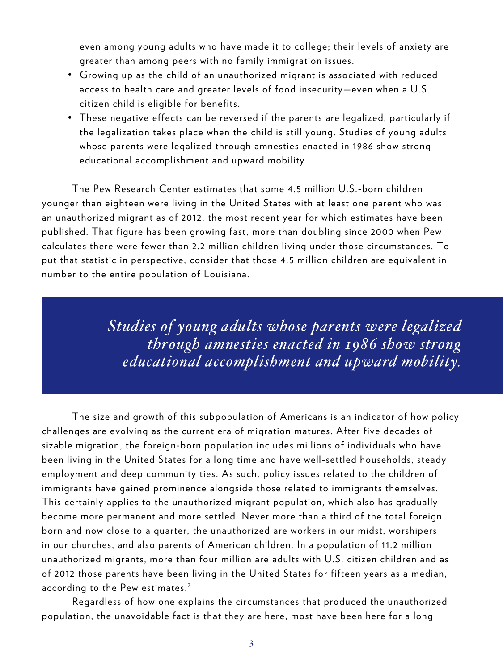even among young adults who have made it to college; their levels of anxiety are greater than among peers with no family immigration issues.

- Growing up as the child of an unauthorized migrant is associated with reduced access to health care and greater levels of food insecurity—even when a U.S. citizen child is eligible for benefits.
- These negative effects can be reversed if the parents are legalized, particularly if the legalization takes place when the child is still young. Studies of young adults whose parents were legalized through amnesties enacted in 1986 show strong educational accomplishment and upward mobility.

The Pew Research Center estimates that some 4.5 million U.S.-born children younger than eighteen were living in the United States with at least one parent who was an unauthorized migrant as of 2012, the most recent year for which estimates have been published. That figure has been growing fast, more than doubling since 2000 when Pew calculates there were fewer than 2.2 million children living under those circumstances. To put that statistic in perspective, consider that those 4.5 million children are equivalent in number to the entire population of Louisiana.

> *Studies of young adults whose parents were legalized through amnesties enacted in 1986 show strong educational accomplishment and upward mobility.*

The size and growth of this subpopulation of Americans is an indicator of how policy challenges are evolving as the current era of migration matures. After five decades of sizable migration, the foreign-born population includes millions of individuals who have been living in the United States for a long time and have well-settled households, steady employment and deep community ties. As such, policy issues related to the children of immigrants have gained prominence alongside those related to immigrants themselves. This certainly applies to the unauthorized migrant population, which also has gradually become more permanent and more settled. Never more than a third of the total foreign born and now close to a quarter, the unauthorized are workers in our midst, worshipers in our churches, and also parents of American children. In a population of 11.2 million unauthorized migrants, more than four million are adults with U.S. citizen children and as of 2012 those parents have been living in the United States for fifteen years as a median, according to the Pew estimates. $2$ 

Regardless of how one explains the circumstances that produced the unauthorized population, the unavoidable fact is that they are here, most have been here for a long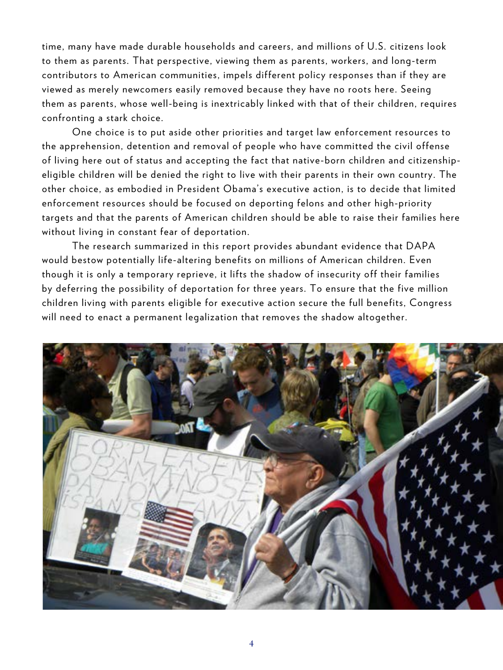time, many have made durable households and careers, and millions of U.S. citizens look to them as parents. That perspective, viewing them as parents, workers, and long-term contributors to American communities, impels different policy responses than if they are viewed as merely newcomers easily removed because they have no roots here. Seeing them as parents, whose well-being is inextricably linked with that of their children, requires confronting a stark choice.

One choice is to put aside other priorities and target law enforcement resources to the apprehension, detention and removal of people who have committed the civil offense of living here out of status and accepting the fact that native-born children and citizenshipeligible children will be denied the right to live with their parents in their own country. The other choice, as embodied in President Obama's executive action, is to decide that limited enforcement resources should be focused on deporting felons and other high-priority targets and that the parents of American children should be able to raise their families here without living in constant fear of deportation.

The research summarized in this report provides abundant evidence that DAPA would bestow potentially life-altering benefits on millions of American children. Even though it is only a temporary reprieve, it lifts the shadow of insecurity off their families by deferring the possibility of deportation for three years. To ensure that the five million children living with parents eligible for executive action secure the full benefits, Congress will need to enact a permanent legalization that removes the shadow altogether.

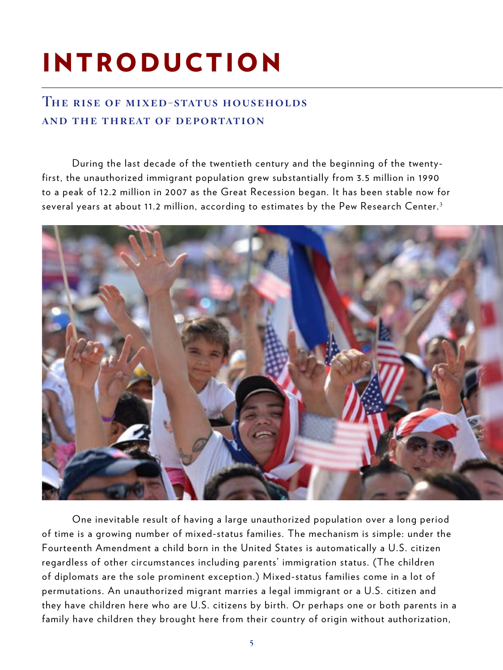# INTRODUCTION

#### The rise of mixed-status households and the threat of deportation

During the last decade of the twentieth century and the beginning of the twentyfirst, the unauthorized immigrant population grew substantially from 3.5 million in 1990 to a peak of 12.2 million in 2007 as the Great Recession began. It has been stable now for several years at about 11.2 million, according to estimates by the Pew Research Center.<sup>3</sup>



One inevitable result of having a large unauthorized population over a long period of time is a growing number of mixed-status families. The mechanism is simple: under the Fourteenth Amendment a child born in the United States is automatically a U.S. citizen regardless of other circumstances including parents' immigration status. (The children of diplomats are the sole prominent exception.) Mixed-status families come in a lot of permutations. An unauthorized migrant marries a legal immigrant or a U.S. citizen and they have children here who are U.S. citizens by birth. Or perhaps one or both parents in a family have children they brought here from their country of origin without authorization,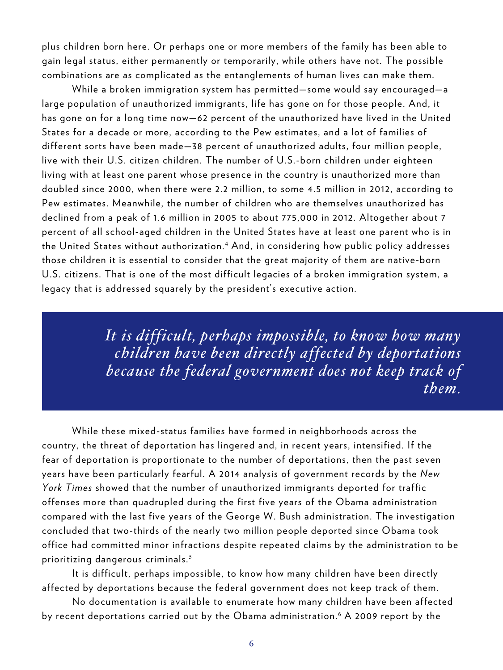plus children born here. Or perhaps one or more members of the family has been able to gain legal status, either permanently or temporarily, while others have not. The possible combinations are as complicated as the entanglements of human lives can make them.

While a broken immigration system has permitted—some would say encouraged—a large population of unauthorized immigrants, life has gone on for those people. And, it has gone on for a long time now—62 percent of the unauthorized have lived in the United States for a decade or more, according to the Pew estimates, and a lot of families of different sorts have been made—38 percent of unauthorized adults, four million people, live with their U.S. citizen children. The number of U.S.-born children under eighteen living with at least one parent whose presence in the country is unauthorized more than doubled since 2000, when there were 2.2 million, to some 4.5 million in 2012, according to Pew estimates. Meanwhile, the number of children who are themselves unauthorized has declined from a peak of 1.6 million in 2005 to about 775,000 in 2012. Altogether about 7 percent of all school-aged children in the United States have at least one parent who is in the United States without authorization.<sup>4</sup> And, in considering how public policy addresses those children it is essential to consider that the great majority of them are native-born U.S. citizens. That is one of the most difficult legacies of a broken immigration system, a legacy that is addressed squarely by the president's executive action.

> *It is difficult, perhaps impossible, to know how many children have been directly affected by deportations because the federal government does not keep track of them.*

While these mixed-status families have formed in neighborhoods across the country, the threat of deportation has lingered and, in recent years, intensified. If the fear of deportation is proportionate to the number of deportations, then the past seven years have been particularly fearful. A 2014 analysis of government records by the *New York Times* showed that the number of unauthorized immigrants deported for traffic offenses more than quadrupled during the first five years of the Obama administration compared with the last five years of the George W. Bush administration. The investigation concluded that two-thirds of the nearly two million people deported since Obama took office had committed minor infractions despite repeated claims by the administration to be prioritizing dangerous criminals. <sup>5</sup>

It is difficult, perhaps impossible, to know how many children have been directly affected by deportations because the federal government does not keep track of them.

No documentation is available to enumerate how many children have been affected by recent deportations carried out by the Obama administration.<sup>6</sup> A 2009 report by the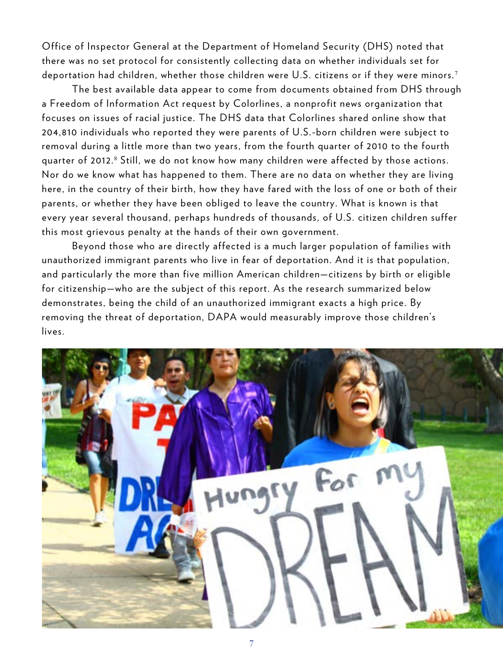Office of Inspector General at the Department of Homeland Security (DHS) noted that there was no set protocol for consistently collecting data on whether individuals set for deportation had children, whether those children were U.S. citizens or if they were minors.<sup>7</sup>

The best available data appear to come from documents obtained from DHS through a Freedom of Information Act request by Colorlines, a nonprofit news organization that focuses on issues of racial justice. The DHS data that Colorlines shared online show that 204,810 individuals who reported they were parents of U.S.-born children were subject to removal during a little more than two years, from the fourth quarter of 2010 to the fourth quarter of 2012.8 Still, we do not know how many children were affected by those actions. Nor do we know what has happened to them. There are no data on whether they are living here, in the country of their birth, how they have fared with the loss of one or both of their parents, or whether they have been obliged to leave the country. What is known is that every year several thousand, perhaps hundreds of thousands, of U.S. citizen children suffer this most grievous penalty at the hands of their own government.

Beyond those who are directly affected is a much larger population of families with unauthorized immigrant parents who live in fear of deportation. And it is that population, and particularly the more than five million American children—citizens by birth or eligible for citizenship—who are the subject of this report. As the research summarized below demonstrates, being the child of an unauthorized immigrant exacts a high price. By removing the threat of deportation, DAPA would measurably improve those children's lives.

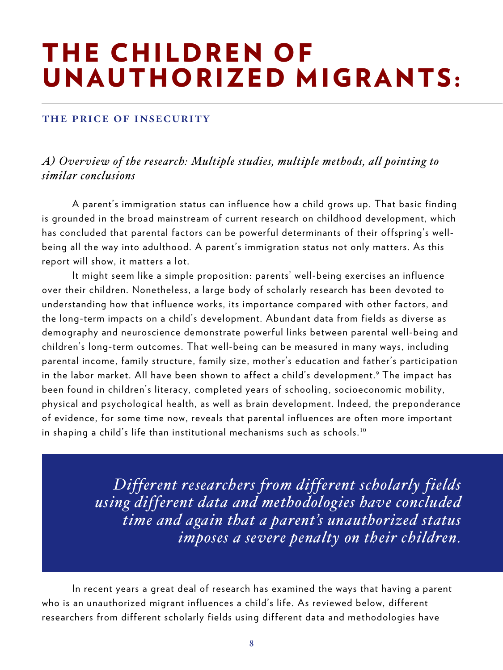### THE CHILDREN OF UNAUTHORIZED MIGRANTS:

#### the price of insecurity

*A) Overview of the research: Multiple studies, multiple methods, all pointing to similar conclusions* 

A parent's immigration status can influence how a child grows up. That basic finding is grounded in the broad mainstream of current research on childhood development, which has concluded that parental factors can be powerful determinants of their offspring's wellbeing all the way into adulthood. A parent's immigration status not only matters. As this report will show, it matters a lot.

It might seem like a simple proposition: parents' well-being exercises an influence over their children. Nonetheless, a large body of scholarly research has been devoted to understanding how that influence works, its importance compared with other factors, and the long-term impacts on a child's development. Abundant data from fields as diverse as demography and neuroscience demonstrate powerful links between parental well-being and children's long-term outcomes. That well-being can be measured in many ways, including parental income, family structure, family size, mother's education and father's participation in the labor market. All have been shown to affect a child's development. $^9$  The impact has been found in children's literacy, completed years of schooling, socioeconomic mobility, physical and psychological health, as well as brain development. Indeed, the preponderance of evidence, for some time now, reveals that parental influences are often more important in shaping a child's life than institutional mechanisms such as schools.<sup>10</sup>

> *Different researchers from different scholarly fields using different data and methodologies have concluded time and again that a parent's unauthorized status imposes a severe penalty on their children.*

In recent years a great deal of research has examined the ways that having a parent who is an unauthorized migrant influences a child's life. As reviewed below, different researchers from different scholarly fields using different data and methodologies have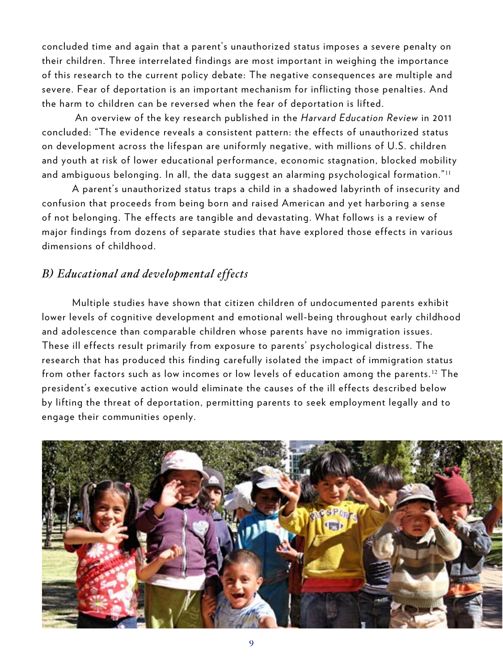concluded time and again that a parent's unauthorized status imposes a severe penalty on their children. Three interrelated findings are most important in weighing the importance of this research to the current policy debate: The negative consequences are multiple and severe. Fear of deportation is an important mechanism for inflicting those penalties. And the harm to children can be reversed when the fear of deportation is lifted.

 An overview of the key research published in the *Harvard Education Review* in 2011 concluded: "The evidence reveals a consistent pattern: the effects of unauthorized status on development across the lifespan are uniformly negative, with millions of U.S. children and youth at risk of lower educational performance, economic stagnation, blocked mobility and ambiguous belonging. In all, the data suggest an alarming psychological formation." <sup>11</sup>

A parent's unauthorized status traps a child in a shadowed labyrinth of insecurity and confusion that proceeds from being born and raised American and yet harboring a sense of not belonging. The effects are tangible and devastating. What follows is a review of major findings from dozens of separate studies that have explored those effects in various dimensions of childhood.

#### *B) Educational and developmental effects*

Multiple studies have shown that citizen children of undocumented parents exhibit lower levels of cognitive development and emotional well-being throughout early childhood and adolescence than comparable children whose parents have no immigration issues. These ill effects result primarily from exposure to parents' psychological distress. The research that has produced this finding carefully isolated the impact of immigration status from other factors such as low incomes or low levels of education among the parents.<sup>12</sup> The president's executive action would eliminate the causes of the ill effects described below by lifting the threat of deportation, permitting parents to seek employment legally and to engage their communities openly.

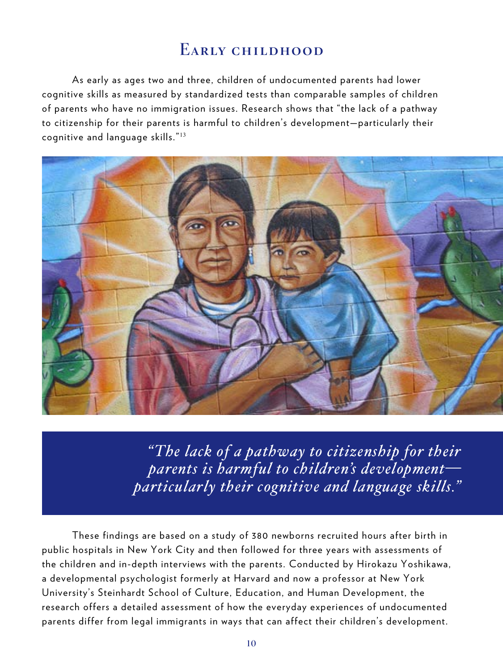#### EARLY CHILDHOOD

As early as ages two and three, children of undocumented parents had lower cognitive skills as measured by standardized tests than comparable samples of children of parents who have no immigration issues. Research shows that "the lack of a pathway to citizenship for their parents is harmful to children's development—particularly their cognitive and language skills." <sup>13</sup>



 *"The lack of a pathway to citizenship for their parents is harmful to children's development particularly their cognitive and language skills."* 

These findings are based on a study of 380 newborns recruited hours after birth in public hospitals in New York City and then followed for three years with assessments of the children and in-depth interviews with the parents. Conducted by Hirokazu Yoshikawa, a developmental psychologist formerly at Harvard and now a professor at New York University's Steinhardt School of Culture, Education, and Human Development, the research offers a detailed assessment of how the everyday experiences of undocumented parents differ from legal immigrants in ways that can affect their children's development.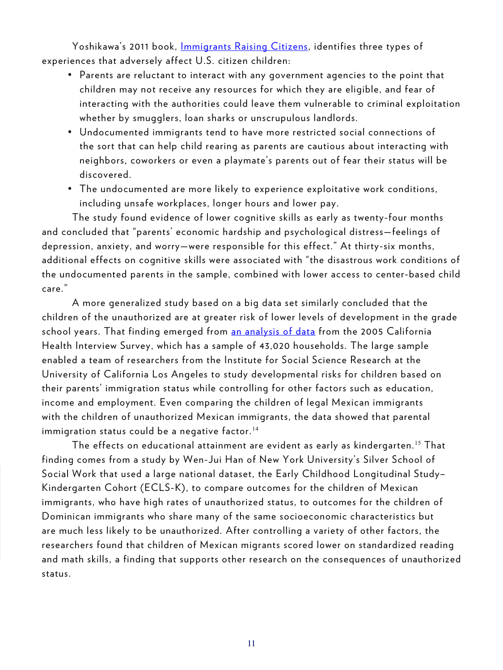Yoshikawa's 2011 book, [Immigrants Raising Citizens,](https://www.russellsage.org/publications/immigrants-raising-citizens) identifies three types of experiences that adversely affect U.S. citizen children:

- Parents are reluctant to interact with any government agencies to the point that children may not receive any resources for which they are eligible, and fear of interacting with the authorities could leave them vulnerable to criminal exploitation whether by smugglers, loan sharks or unscrupulous landlords.
- Undocumented immigrants tend to have more restricted social connections of the sort that can help child rearing as parents are cautious about interacting with neighbors, coworkers or even a playmate's parents out of fear their status will be discovered.
- The undocumented are more likely to experience exploitative work conditions, including unsafe workplaces, longer hours and lower pay.

The study found evidence of lower cognitive skills as early as twenty-four months and concluded that "parents' economic hardship and psychological distress—feelings of depression, anxiety, and worry—were responsible for this effect." At thirty-six months, additional effects on cognitive skills were associated with "the disastrous work conditions of the undocumented parents in the sample, combined with lower access to center-based child care."

A more generalized study based on a big data set similarly concluded that the children of the unauthorized are at greater risk of lower levels of development in the grade school years. That finding emerged from [an analysis of data](http://bit.ly/1nnozAm) from the 2005 California Health Interview Survey, which has a sample of 43,020 households. The large sample enabled a team of researchers from the Institute for Social Science Research at the University of California Los Angeles to study developmental risks for children based on their parents' immigration status while controlling for other factors such as education, income and employment. Even comparing the children of legal Mexican immigrants with the children of unauthorized Mexican immigrants, the data showed that parental immigration status could be a negative factor.<sup>14</sup>

The effects on educational attainment are evident as early as kindergarten.<sup>15</sup> That finding comes from a study by Wen-Jui Han of New York University's Silver School of Social Work that used a large national dataset, the Early Childhood Longitudinal Study– Kindergarten Cohort (ECLS-K), to compare outcomes for the children of Mexican immigrants, who have high rates of unauthorized status, to outcomes for the children of Dominican immigrants who share many of the same socioeconomic characteristics but are much less likely to be unauthorized. After controlling a variety of other factors, the researchers found that children of Mexican migrants scored lower on standardized reading and math skills, a finding that supports other research on the consequences of unauthorized status.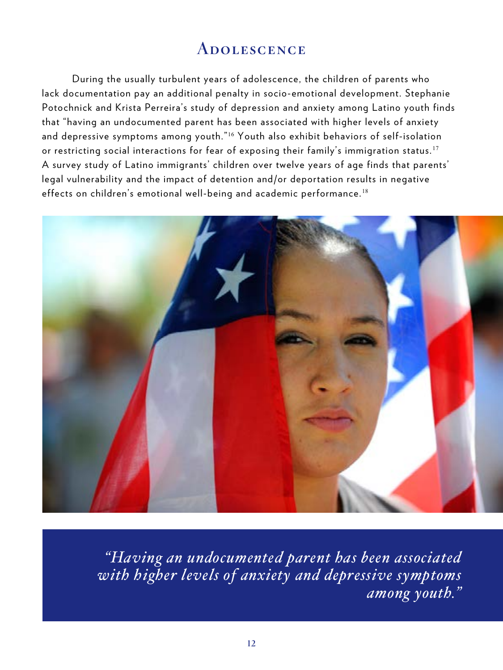### **ADOLESCENCE**

During the usually turbulent years of adolescence, the children of parents who lack documentation pay an additional penalty in socio-emotional development. Stephanie Potochnick and Krista Perreira's study of depression and anxiety among Latino youth finds that "having an undocumented parent has been associated with higher levels of anxiety and depressive symptoms among youth.<sup>"16</sup> Youth also exhibit behaviors of self-isolation or restricting social interactions for fear of exposing their family's immigration status.<sup>17</sup> A survey study of Latino immigrants' children over twelve years of age finds that parents' legal vulnerability and the impact of detention and/or deportation results in negative effects on children's emotional well-being and academic performance.<sup>18</sup>



*"Having an undocumented parent has been associated with higher levels of anxiety and depressive symptoms among youth."*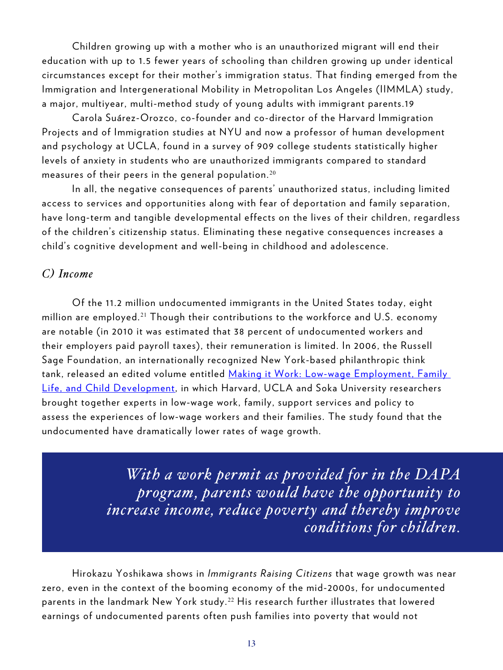Children growing up with a mother who is an unauthorized migrant will end their education with up to 1.5 fewer years of schooling than children growing up under identical circumstances except for their mother's immigration status. That finding emerged from the Immigration and Intergenerational Mobility in Metropolitan Los Angeles (IIMMLA) study, a major, multiyear, multi-method study of young adults with immigrant parents.19

Carola Suárez-Orozco, co-founder and co-director of the Harvard Immigration Projects and of Immigration studies at NYU and now a professor of human development and psychology at UCLA, found in a survey of 909 college students statistically higher levels of anxiety in students who are unauthorized immigrants compared to standard measures of their peers in the general population.<sup>20</sup>

In all, the negative consequences of parents' unauthorized status, including limited access to services and opportunities along with fear of deportation and family separation, have long-term and tangible developmental effects on the lives of their children, regardless of the children's citizenship status. Eliminating these negative consequences increases a child's cognitive development and well-being in childhood and adolescence.

#### *C) Income*

Of the 11.2 million undocumented immigrants in the United States today, eight million are employed.<sup>21</sup> Though their contributions to the workforce and U.S. economy are notable (in 2010 it was estimated that 38 percent of undocumented workers and their employers paid payroll taxes), their remuneration is limited. In 2006, the Russell Sage Foundation, an internationally recognized New York-based philanthropic think tank, released an edited volume entitled <u>Making it Work: Low-wage Employment, Family</u> [Life, and Child Development,](https://www.russellsage.org/publications/making-it-work) in which Harvard, UCLA and Soka University researchers brought together experts in low-wage work, family, support services and policy to assess the experiences of low-wage workers and their families. The study found that the undocumented have dramatically lower rates of wage growth.

> *With a work permit as provided for in the DAPA program, parents would have the opportunity to increase income, reduce poverty and thereby improve conditions for children.*

Hirokazu Yoshikawa shows in *Immigrants Raising Citizens* that wage growth was near zero, even in the context of the booming economy of the mid-2000s, for undocumented parents in the landmark New York study.<sup>22</sup> His research further illustrates that lowered earnings of undocumented parents often push families into poverty that would not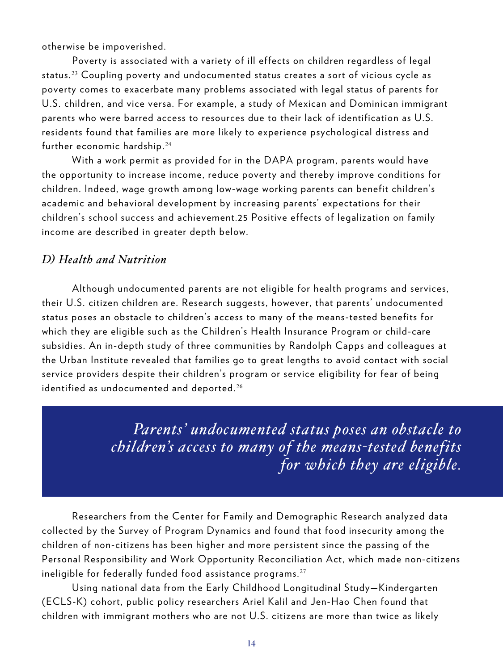otherwise be impoverished.

Poverty is associated with a variety of ill effects on children regardless of legal status.<sup>23</sup> Coupling poverty and undocumented status creates a sort of vicious cycle as poverty comes to exacerbate many problems associated with legal status of parents for U.S. children, and vice versa. For example, a study of Mexican and Dominican immigrant parents who were barred access to resources due to their lack of identification as U.S. residents found that families are more likely to experience psychological distress and further economic hardship.<sup>24</sup>

With a work permit as provided for in the DAPA program, parents would have the opportunity to increase income, reduce poverty and thereby improve conditions for children. Indeed, wage growth among low-wage working parents can benefit children's academic and behavioral development by increasing parents' expectations for their children's school success and achievement.25 Positive effects of legalization on family income are described in greater depth below.

#### *D) Health and Nutrition*

Although undocumented parents are not eligible for health programs and services, their U.S. citizen children are. Research suggests, however, that parents' undocumented status poses an obstacle to children's access to many of the means-tested benefits for which they are eligible such as the Children's Health Insurance Program or child-care subsidies. An in-depth study of three communities by Randolph Capps and colleagues at the Urban Institute revealed that families go to great lengths to avoid contact with social service providers despite their children's program or service eligibility for fear of being identified as undocumented and deported. $^{26}$ 

> *Parents' undocumented status poses an obstacle to children's access to many of the means-tested benefits for which they are eligible.*

Researchers from the Center for Family and Demographic Research analyzed data collected by the Survey of Program Dynamics and found that food insecurity among the children of non-citizens has been higher and more persistent since the passing of the Personal Responsibility and Work Opportunity Reconciliation Act, which made non-citizens ineligible for federally funded food assistance programs. $27$ 

Using national data from the Early Childhood Longitudinal Study—Kindergarten (ECLS-K) cohort, public policy researchers Ariel Kalil and Jen-Hao Chen found that children with immigrant mothers who are not U.S. citizens are more than twice as likely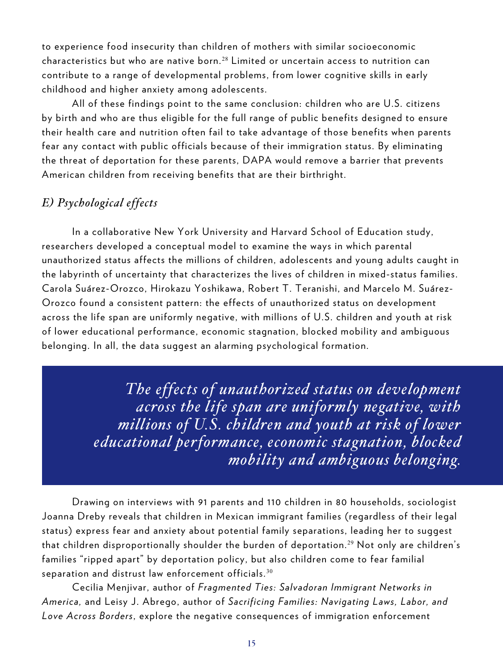to experience food insecurity than children of mothers with similar socioeconomic characteristics but who are native born.<sup>28</sup> Limited or uncertain access to nutrition can contribute to a range of developmental problems, from lower cognitive skills in early childhood and higher anxiety among adolescents.

All of these findings point to the same conclusion: children who are U.S. citizens by birth and who are thus eligible for the full range of public benefits designed to ensure their health care and nutrition often fail to take advantage of those benefits when parents fear any contact with public officials because of their immigration status. By eliminating the threat of deportation for these parents, DAPA would remove a barrier that prevents American children from receiving benefits that are their birthright.

#### *E) Psychological effects*

In a collaborative New York University and Harvard School of Education study, researchers developed a conceptual model to examine the ways in which parental unauthorized status affects the millions of children, adolescents and young adults caught in the labyrinth of uncertainty that characterizes the lives of children in mixed-status families. Carola Suárez-Orozco, Hirokazu Yoshikawa, Robert T. Teranishi, and Marcelo M. Suárez-Orozco found a consistent pattern: the effects of unauthorized status on development across the life span are uniformly negative, with millions of U.S. children and youth at risk of lower educational performance, economic stagnation, blocked mobility and ambiguous belonging. In all, the data suggest an alarming psychological formation.

> *The effects of unauthorized status on development across the life span are uniformly negative, with millions of U.S. children and youth at risk of lower educational performance, economic stagnation, blocked mobility and ambiguous belonging.*

Drawing on interviews with 91 parents and 110 children in 80 households, sociologist Joanna Dreby reveals that children in Mexican immigrant families (regardless of their legal status) express fear and anxiety about potential family separations, leading her to suggest that children disproportionally shoulder the burden of deportation.<sup>29</sup> Not only are children's families "ripped apart" by deportation policy, but also children come to fear familial separation and distrust law enforcement officials.  $30$ 

Cecilia Menjivar, author of *Fragmented Ties: Salvadoran Immigrant Networks in America,* and Leisy J. Abrego, author of *Sacrificing Families: Navigating Laws, Labor, and Love Across Borders*, explore the negative consequences of immigration enforcement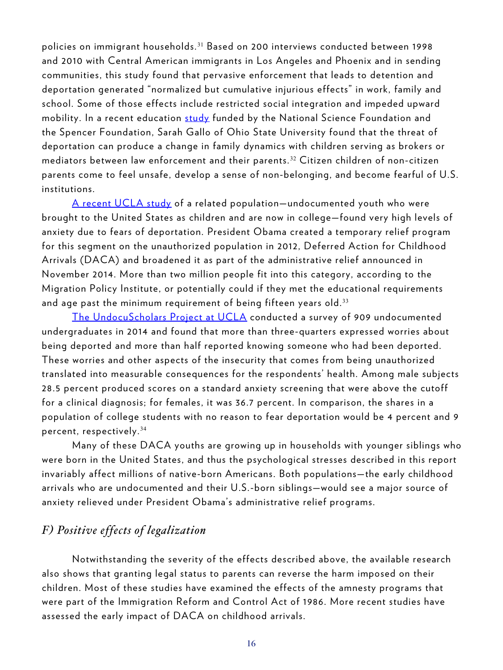policies on immigrant households. <sup>31</sup> Based on 200 interviews conducted between 1998 and 2010 with Central American immigrants in Los Angeles and Phoenix and in sending communities, this study found that pervasive enforcement that leads to detention and deportation generated "normalized but cumulative injurious effects" in work, family and school. Some of those effects include restricted social integration and impeded upward mobility. In a recent education [study](http://aer.sagepub.com/content/51/3/473.short) funded by the National Science Foundation and the Spencer Foundation, Sarah Gallo of Ohio State University found that the threat of deportation can produce a change in family dynamics with children serving as brokers or mediators between law enforcement and their parents. <sup>32</sup> Citizen children of non-citizen parents come to feel unsafe, develop a sense of non-belonging, and become fearful of U.S. institutions.

[A recent UCLA study](http://www.undocuscholars.org/undocuscholars-report.html) of a related population—undocumented youth who were brought to the United States as children and are now in college—found very high levels of anxiety due to fears of deportation. President Obama created a temporary relief program for this segment on the unauthorized population in 2012, Deferred Action for Childhood Arrivals (DACA) and broadened it as part of the administrative relief announced in November 2014. More than two million people fit into this category, according to the Migration Policy Institute, or potentially could if they met the educational requirements and age past the minimum requirement of being fifteen years old.<sup>33</sup>

[The UndocuScholars Project at UCLA](http://www.undocuscholars.org/index.html) conducted a survey of 909 undocumented undergraduates in 2014 and found that more than three-quarters expressed worries about being deported and more than half reported knowing someone who had been deported. These worries and other aspects of the insecurity that comes from being unauthorized translated into measurable consequences for the respondents' health. Among male subjects 28.5 percent produced scores on a standard anxiety screening that were above the cutoff for a clinical diagnosis; for females, it was 36.7 percent. In comparison, the shares in a population of college students with no reason to fear deportation would be 4 percent and 9 percent, respectively. <sup>34</sup>

Many of these DACA youths are growing up in households with younger siblings who were born in the United States, and thus the psychological stresses described in this report invariably affect millions of native-born Americans. Both populations—the early childhood arrivals who are undocumented and their U.S.-born siblings—would see a major source of anxiety relieved under President Obama's administrative relief programs.

#### *F) Positive effects of legalization*

Notwithstanding the severity of the effects described above, the available research also shows that granting legal status to parents can reverse the harm imposed on their children. Most of these studies have examined the effects of the amnesty programs that were part of the Immigration Reform and Control Act of 1986. More recent studies have assessed the early impact of DACA on childhood arrivals.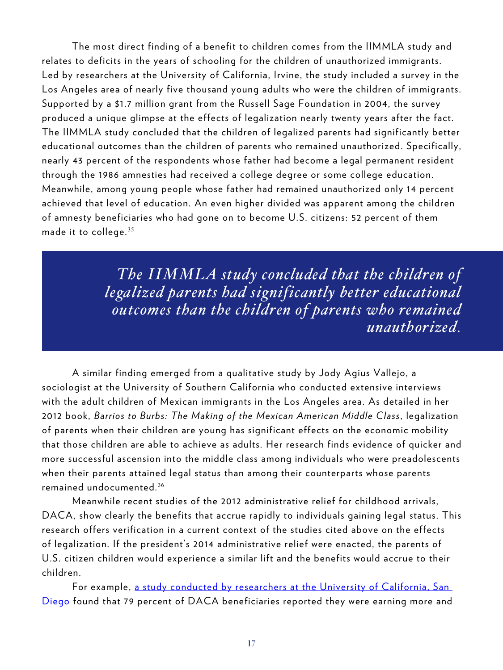The most direct finding of a benefit to children comes from the IIMMLA study and relates to deficits in the years of schooling for the children of unauthorized immigrants. Led by researchers at the University of California, Irvine, the study included a survey in the Los Angeles area of nearly five thousand young adults who were the children of immigrants. Supported by a \$1.7 million grant from the Russell Sage Foundation in 2004, the survey produced a unique glimpse at the effects of legalization nearly twenty years after the fact. The IIMMLA study concluded that the children of legalized parents had significantly better educational outcomes than the children of parents who remained unauthorized. Specifically, nearly 43 percent of the respondents whose father had become a legal permanent resident through the 1986 amnesties had received a college degree or some college education. Meanwhile, among young people whose father had remained unauthorized only 14 percent achieved that level of education. An even higher divided was apparent among the children of amnesty beneficiaries who had gone on to become U.S. citizens: 52 percent of them made it to college.  $35$ 

> *The IIMMLA study concluded that the children of legalized parents had significantly better educational outcomes than the children of parents who remained unauthorized.*

A similar finding emerged from a qualitative study by Jody Agius Vallejo, a sociologist at the University of Southern California who conducted extensive interviews with the adult children of Mexican immigrants in the Los Angeles area. As detailed in her 2012 book, *Barrios to Burbs: The Making of the Mexican American Middle Class*, legalization of parents when their children are young has significant effects on the economic mobility that those children are able to achieve as adults. Her research finds evidence of quicker and more successful ascension into the middle class among individuals who were preadolescents when their parents attained legal status than among their counterparts whose parents remained undocumented. $36$ 

Meanwhile recent studies of the 2012 administrative relief for childhood arrivals, DACA, show clearly the benefits that accrue rapidly to individuals gaining legal status. This research offers verification in a current context of the studies cited above on the effects of legalization. If the president's 2014 administrative relief were enacted, the parents of U.S. citizen children would experience a similar lift and the benefits would accrue to their children.

For example, a study conducted by researchers at the University of California. San [Diego](http://ccis.ucsd.edu/one-step-in-and-one-step-out-new-book-from-ccis-on-daca/) found that 79 percent of DACA beneficiaries reported they were earning more and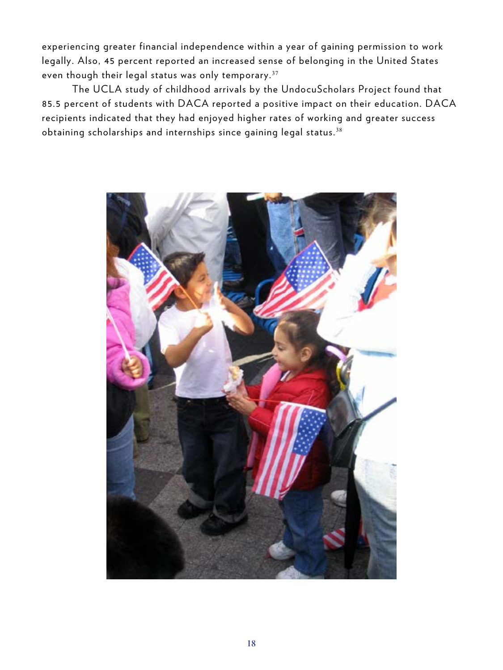experiencing greater financial independence within a year of gaining permission to work legally. Also, 45 percent reported an increased sense of belonging in the United States even though their legal status was only temporary.<sup>37</sup>

The UCLA study of childhood arrivals by the UndocuScholars Project found that 85.5 percent of students with DACA reported a positive impact on their education. DACA recipients indicated that they had enjoyed higher rates of working and greater success obtaining scholarships and internships since gaining legal status.<sup>38</sup>

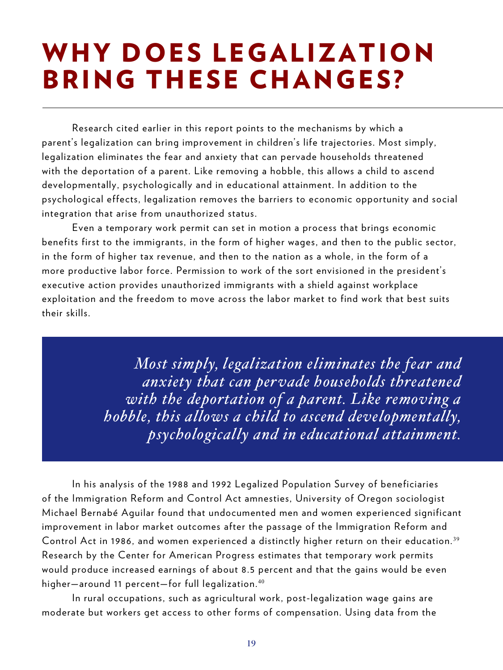### WHY DOES LEGALIZATION **BRING THESE CHANGES?**

Research cited earlier in this report points to the mechanisms by which a parent's legalization can bring improvement in children's life trajectories. Most simply, legalization eliminates the fear and anxiety that can pervade households threatened with the deportation of a parent. Like removing a hobble, this allows a child to ascend developmentally, psychologically and in educational attainment. In addition to the psychological effects, legalization removes the barriers to economic opportunity and social integration that arise from unauthorized status.

Even a temporary work permit can set in motion a process that brings economic benefits first to the immigrants, in the form of higher wages, and then to the public sector, in the form of higher tax revenue, and then to the nation as a whole, in the form of a more productive labor force. Permission to work of the sort envisioned in the president's executive action provides unauthorized immigrants with a shield against workplace exploitation and the freedom to move across the labor market to find work that best suits their skills.

> *Most simply, legalization eliminates the fear and anxiety that can pervade households threatened with the deportation of a parent. Like removing a hobble, this allows a child to ascend developmentally, psychologically and in educational attainment.*

In his analysis of the 1988 and 1992 Legalized Population Survey of beneficiaries of the Immigration Reform and Control Act amnesties, University of Oregon sociologist Michael Bernabé Aguilar found that undocumented men and women experienced significant improvement in labor market outcomes after the passage of the Immigration Reform and Control Act in 1986, and women experienced a distinctly higher return on their education.<sup>39</sup> Research by the Center for American Progress estimates that temporary work permits would produce increased earnings of about 8.5 percent and that the gains would be even higher-around 11 percent-for full legalization.<sup>40</sup>

In rural occupations, such as agricultural work, post-legalization wage gains are moderate but workers get access to other forms of compensation. Using data from the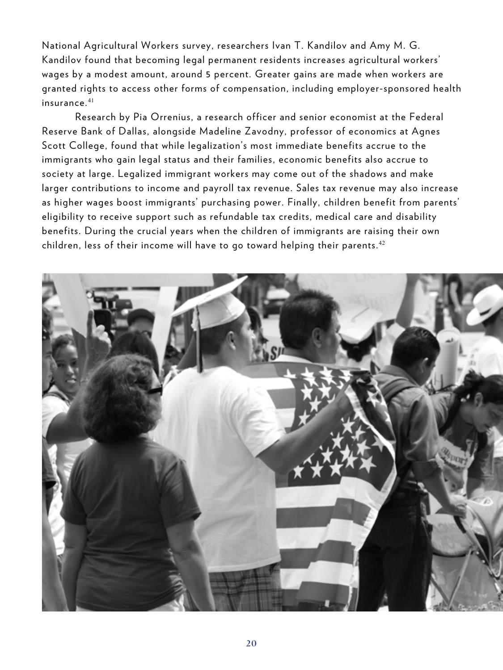National Agricultural Workers survey, researchers Ivan T. Kandilov and Amy M. G. Kandilov found that becoming legal permanent residents increases agricultural workers' wages by a modest amount, around 5 percent. Greater gains are made when workers are granted rights to access other forms of compensation, including employer-sponsored health insurance. <sup>41</sup>

 Research by Pia Orrenius, a research officer and senior economist at the Federal Reserve Bank of Dallas, alongside Madeline Zavodny, professor of economics at Agnes Scott College, found that while legalization's most immediate benefits accrue to the immigrants who gain legal status and their families, economic benefits also accrue to society at large. Legalized immigrant workers may come out of the shadows and make larger contributions to income and payroll tax revenue. Sales tax revenue may also increase as higher wages boost immigrants' purchasing power. Finally, children benefit from parents' eligibility to receive support such as refundable tax credits, medical care and disability benefits. During the crucial years when the children of immigrants are raising their own children, less of their income will have to go toward helping their parents.<sup>42</sup>

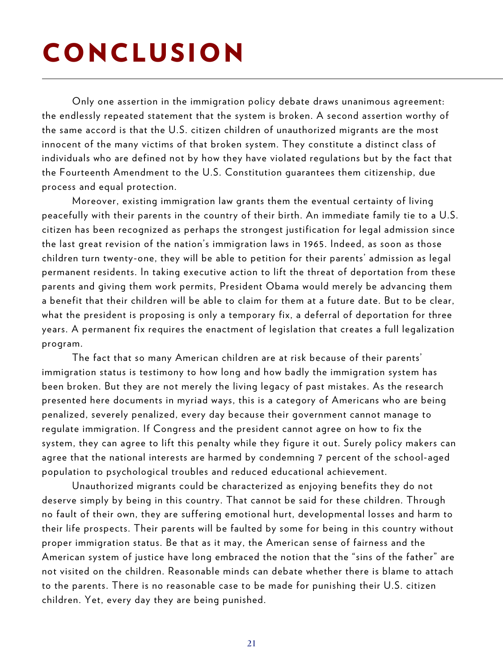## CONCLUSION

Only one assertion in the immigration policy debate draws unanimous agreement: the endlessly repeated statement that the system is broken. A second assertion worthy of the same accord is that the U.S. citizen children of unauthorized migrants are the most innocent of the many victims of that broken system. They constitute a distinct class of individuals who are defined not by how they have violated regulations but by the fact that the Fourteenth Amendment to the U.S. Constitution guarantees them citizenship, due process and equal protection.

Moreover, existing immigration law grants them the eventual certainty of living peacefully with their parents in the country of their birth. An immediate family tie to a U.S. citizen has been recognized as perhaps the strongest justification for legal admission since the last great revision of the nation's immigration laws in 1965. Indeed, as soon as those children turn twenty-one, they will be able to petition for their parents' admission as legal permanent residents. In taking executive action to lift the threat of deportation from these parents and giving them work permits, President Obama would merely be advancing them a benefit that their children will be able to claim for them at a future date. But to be clear, what the president is proposing is only a temporary fix, a deferral of deportation for three years. A permanent fix requires the enactment of legislation that creates a full legalization program.

The fact that so many American children are at risk because of their parents' immigration status is testimony to how long and how badly the immigration system has been broken. But they are not merely the living legacy of past mistakes. As the research presented here documents in myriad ways, this is a category of Americans who are being penalized, severely penalized, every day because their government cannot manage to regulate immigration. If Congress and the president cannot agree on how to fix the system, they can agree to lift this penalty while they figure it out. Surely policy makers can agree that the national interests are harmed by condemning 7 percent of the school-aged population to psychological troubles and reduced educational achievement.

Unauthorized migrants could be characterized as enjoying benefits they do not deserve simply by being in this country. That cannot be said for these children. Through no fault of their own, they are suffering emotional hurt, developmental losses and harm to their life prospects. Their parents will be faulted by some for being in this country without proper immigration status. Be that as it may, the American sense of fairness and the American system of justice have long embraced the notion that the "sins of the father" are not visited on the children. Reasonable minds can debate whether there is blame to attach to the parents. There is no reasonable case to be made for punishing their U.S. citizen children. Yet, every day they are being punished.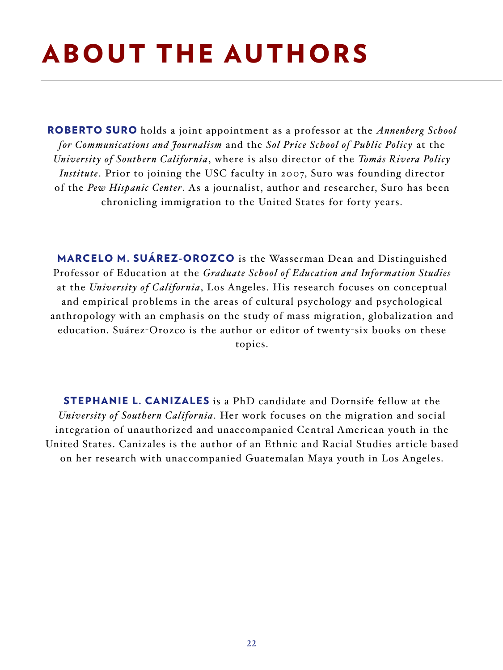## ABOUT THE AUTHORS

ROBERTO SURO holds a joint appointment as a professor at the *Annenberg School for Communications and Journalism* and the *Sol Price School of Public Policy* at the *University of Southern California*, where is also director of the *Tomás Rivera Policy Institute*. Prior to joining the USC faculty in 2007, Suro was founding director of the *Pew Hispanic Center*. As a journalist, author and researcher, Suro has been chronicling immigration to the United States for forty years.

MARCELO M. SUÁREZ-OROZCO is the Wasserman Dean and Distinguished Professor of Education at the *Graduate School of Education and Information Studies* at the *University of California*, Los Angeles. His research focuses on conceptual and empirical problems in the areas of cultural psychology and psychological anthropology with an emphasis on the study of mass migration, globalization and education. Suárez-Orozco is the author or editor of twenty-six books on these topics.

STEPHANIE L. CANIZALES is a PhD candidate and Dornsife fellow at the *University of Southern California*. Her work focuses on the migration and social integration of unauthorized and unaccompanied Central American youth in the United States. Canizales is the author of an Ethnic and Racial Studies article based on her research with unaccompanied Guatemalan Maya youth in Los Angeles.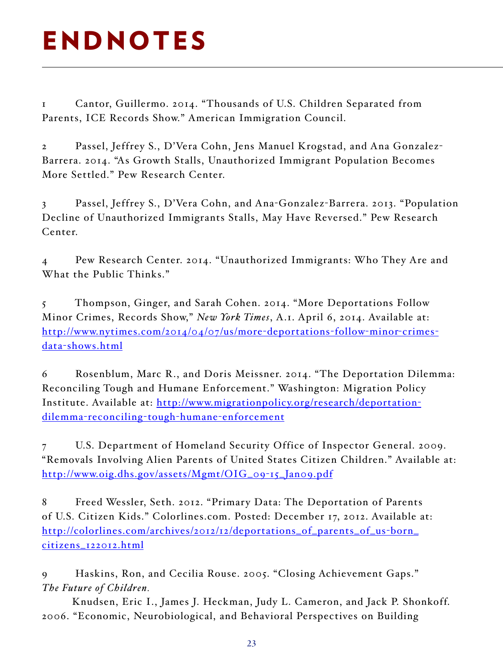## ENDNOTES

1 Cantor, Guillermo. 2014. "Thousands of U.S. Children Separated from Parents, ICE Records Show." American Immigration Council.

2 Passel, Jeffrey S., D'Vera Cohn, Jens Manuel Krogstad, and Ana Gonzalez-Barrera. 2014. "As Growth Stalls, Unauthorized Immigrant Population Becomes More Settled." Pew Research Center.

3 Passel, Jeffrey S., D'Vera Cohn, and Ana-Gonzalez-Barrera. 2013. "Population Decline of Unauthorized Immigrants Stalls, May Have Reversed." Pew Research Center.

4 Pew Research Center. 2014. "Unauthorized Immigrants: Who They Are and What the Public Thinks."

5 Thompson, Ginger, and Sarah Cohen. 2014. "More Deportations Follow Minor Crimes, Records Show," *New York Times*, A.1. April 6, 2014. Available at: [http://www.nytimes.com/2014/04/07/us/more-deportations-follow-minor-crimes](http://www.nytimes.com/2014/04/07/us/more-deportations-follow-minor-crimes-data-shows.html )[data-shows.html](http://www.nytimes.com/2014/04/07/us/more-deportations-follow-minor-crimes-data-shows.html )

6 Rosenblum, Marc R., and Doris Meissner. 2014. "The Deportation Dilemma: Reconciling Tough and Humane Enforcement." Washington: Migration Policy Institute. Available at: [http://www.migrationpolicy.org/research/deportation](http://www.migrationpolicy.org/research/deportation-dilemma-reconciling-tough-humane-enforcement )[dilemma-reconciling-tough-humane-enforcement](http://www.migrationpolicy.org/research/deportation-dilemma-reconciling-tough-humane-enforcement )

7 U.S. Department of Homeland Security Office of Inspector General. 2009. "Removals Involving Alien Parents of United States Citizen Children." Available at: [http://www.oig.dhs.gov/assets/Mgmt/OIG\\_09-15\\_Jan09.pdf](http://www.oig.dhs.gov/assets/Mgmt/OIG_09-15_Jan09.pdf )

8 Freed Wessler, Seth. 2012. "Primary Data: The Deportation of Parents of U.S. Citizen Kids." Colorlines.com. Posted: December 17, 2012. Available at: [http://colorlines.com/archives/2012/12/deportations\\_of\\_parents\\_of\\_us-born\\_](http://colorlines.com/archives/2012/12/deportations_of_parents_of_us-born_citizens_122012.html ) [citizens\\_122012.html](http://colorlines.com/archives/2012/12/deportations_of_parents_of_us-born_citizens_122012.html )

9 Haskins, Ron, and Cecilia Rouse. 2005. "Closing Achievement Gaps." *The Future of Children.* 

Knudsen, Eric I., James J. Heckman, Judy L. Cameron, and Jack P. Shonkoff. 2006. "Economic, Neurobiological, and Behavioral Perspectives on Building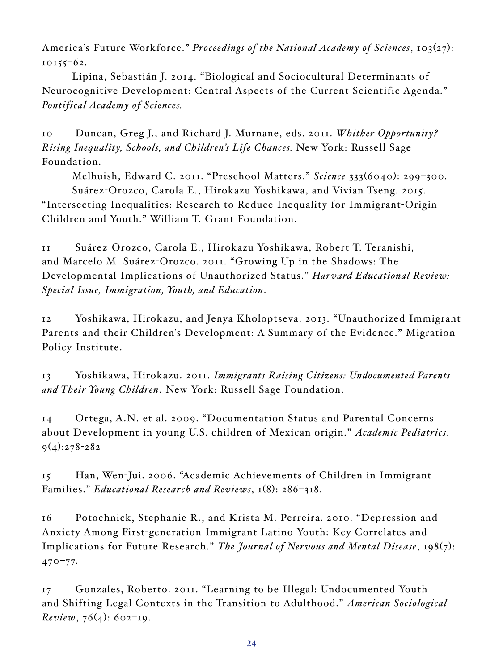America's Future Workforce." *Proceedings of the National Academy of Sciences*, 103(27): 10155–62.

Lipina, Sebastián J. 2014. "Biological and Sociocultural Determinants of Neurocognitive Development: Central Aspects of the Current Scientific Agenda." *Pontifical Academy of Sciences.* 

10 Duncan, Greg J., and Richard J. Murnane, eds. 2011. *Whither Opportunity? Rising Inequality, Schools, and Children's Life Chances.* New York: Russell Sage Foundation.

Melhuish, Edward C. 2011. "Preschool Matters." *Science* 333(6040): 299–300. Suárez-Orozco, Carola E., Hirokazu Yoshikawa, and Vivian Tseng. 2015. "Intersecting Inequalities: Research to Reduce Inequality for Immigrant-Origin Children and Youth." William T. Grant Foundation.

11 Suárez-Orozco, Carola E., Hirokazu Yoshikawa, Robert T. Teranishi, and Marcelo M. Suárez-Orozco. 2011. "Growing Up in the Shadows: The Developmental Implications of Unauthorized Status." *Harvard Educational Review: Special Issue, Immigration, Youth, and Education*.

12 Yoshikawa, Hirokazu, and Jenya Kholoptseva. 2013. "Unauthorized Immigrant Parents and their Children's Development: A Summary of the Evidence." Migration Policy Institute.

13 Yoshikawa, Hirokazu. 2011. *Immigrants Raising Citizens: Undocumented Parents and Their Young Children*. New York: Russell Sage Foundation.

14 Ortega, A.N. et al. 2009. "Documentation Status and Parental Concerns about Development in young U.S. children of Mexican origin." *Academic Pediatrics*. 9(4):278-282

15 Han, Wen-Jui. 2006. "Academic Achievements of Children in Immigrant Families." *Educational Research and Reviews*, 1(8): 286–318.

16 Potochnick, Stephanie R., and Krista M. Perreira. 2010. "Depression and Anxiety Among First-generation Immigrant Latino Youth: Key Correlates and Implications for Future Research." *The Journal of Nervous and Mental Disease*, 198(7): 470–77.

17 Gonzales, Roberto. 2011. "Learning to be Illegal: Undocumented Youth and Shifting Legal Contexts in the Transition to Adulthood." *American Sociological Review*, 76(4): 602–19.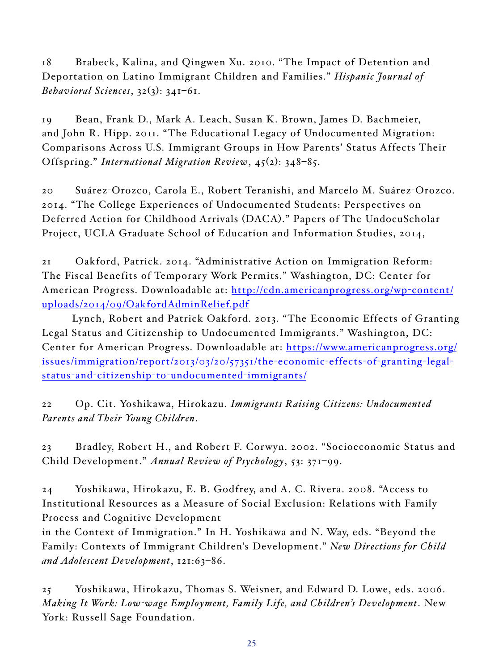18 Brabeck, Kalina, and Qingwen Xu. 2010. "The Impact of Detention and Deportation on Latino Immigrant Children and Families." *Hispanic Journal of Behavioral Sciences*, 32(3): 341–61.

19 Bean, Frank D., Mark A. Leach, Susan K. Brown, James D. Bachmeier, and John R. Hipp. 2011. "The Educational Legacy of Undocumented Migration: Comparisons Across U.S. Immigrant Groups in How Parents' Status Affects Their Offspring." *International Migration Review*, 45(2): 348–85.

20 Suárez-Orozco, Carola E., Robert Teranishi, and Marcelo M. Suárez-Orozco. 2014. "The College Experiences of Undocumented Students: Perspectives on Deferred Action for Childhood Arrivals (DACA)." Papers of The UndocuScholar Project, UCLA Graduate School of Education and Information Studies, 2014,

21 Oakford, Patrick. 2014. "Administrative Action on Immigration Reform: The Fiscal Benefits of Temporary Work Permits." Washington, DC: Center for American Progress. Downloadable at: [http://cdn.americanprogress.org/wp-content/](http://cdn.americanprogress.org/wp-content/uploads/2014/09/OakfordAdminRelief.pdf) [uploads/2014/09/OakfordAdminRelief.pdf](http://cdn.americanprogress.org/wp-content/uploads/2014/09/OakfordAdminRelief.pdf)

Lynch, Robert and Patrick Oakford. 2013. "The Economic Effects of Granting Legal Status and Citizenship to Undocumented Immigrants." Washington, DC: Center for American Progress. Downloadable at: [https://www.americanprogress.org/](https://www.americanprogress.org/issues/immigration/report/2013/03/20/57351/the-economic-effects-of-granting-legal-status-and-citizenship-to-undocumented-immigrants/ ) [issues/immigration/report/2013/03/20/57351/the-economic-effects-of-granting-legal](https://www.americanprogress.org/issues/immigration/report/2013/03/20/57351/the-economic-effects-of-granting-legal-status-and-citizenship-to-undocumented-immigrants/ )[status-and-citizenship-to-undocumented-immigrants/](https://www.americanprogress.org/issues/immigration/report/2013/03/20/57351/the-economic-effects-of-granting-legal-status-and-citizenship-to-undocumented-immigrants/ )

22 Op. Cit. Yoshikawa, Hirokazu. *Immigrants Raising Citizens: Undocumented Parents and Their Young Children*.

23 Bradley, Robert H., and Robert F. Corwyn. 2002. "Socioeconomic Status and Child Development." *Annual Review of Psychology*, 53: 371–99.

24 Yoshikawa, Hirokazu, E. B. Godfrey, and A. C. Rivera. 2008. "Access to Institutional Resources as a Measure of Social Exclusion: Relations with Family Process and Cognitive Development

in the Context of Immigration." In H. Yoshikawa and N. Way, eds. "Beyond the Family: Contexts of Immigrant Children's Development." *New Directions for Child and Adolescent Development*, 121:63–86.

25 Yoshikawa, Hirokazu, Thomas S. Weisner, and Edward D. Lowe, eds. 2006. *Making It Work: Low-wage Employment, Family Life, and Children's Development*. New York: Russell Sage Foundation.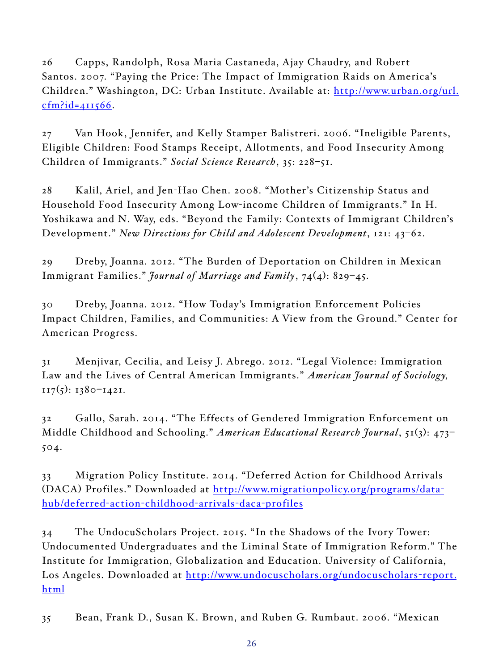26 Capps, Randolph, Rosa Maria Castaneda, Ajay Chaudry, and Robert Santos. 2007. "Paying the Price: The Impact of Immigration Raids on America's Children." Washington, DC: Urban Institute. Available at: [http://www.urban.org/url.](http://www.urban.org/url.cfm?id=411566)  $cfm?id = 411566.$ 

27 Van Hook, Jennifer, and Kelly Stamper Balistreri. 2006. "Ineligible Parents, Eligible Children: Food Stamps Receipt, Allotments, and Food Insecurity Among Children of Immigrants." *Social Science Research*, 35: 228–51.

28 Kalil, Ariel, and Jen-Hao Chen. 2008. "Mother's Citizenship Status and Household Food Insecurity Among Low-income Children of Immigrants." In H. Yoshikawa and N. Way, eds. "Beyond the Family: Contexts of Immigrant Children's Development." *New Directions for Child and Adolescent Development*, 121: 43–62.

29 Dreby, Joanna. 2012. "The Burden of Deportation on Children in Mexican Immigrant Families." *Journal of Marriage and Family*, 74(4): 829–45.

30 Dreby, Joanna. 2012. "How Today's Immigration Enforcement Policies Impact Children, Families, and Communities: A View from the Ground." Center for American Progress.

31 Menjivar, Cecilia, and Leisy J. Abrego. 2012. "Legal Violence: Immigration Law and the Lives of Central American Immigrants." *American Journal of Sociology*,  $117(5)$ : 1380–1421.

32 Gallo, Sarah. 2014. "The Effects of Gendered Immigration Enforcement on Middle Childhood and Schooling." *American Educational Research Journal*, 51(3): 473– 504.

33 Migration Policy Institute. 2014. "Deferred Action for Childhood Arrivals (DACA) Profiles." Downloaded at [http://www.migrationpolicy.org/programs/data](http://www.migrationpolicy.org/programs/data-hub/deferred-action-childhood-arrivals-daca-profiles)[hub/deferred-action-childhood-arrivals-daca-profiles](http://www.migrationpolicy.org/programs/data-hub/deferred-action-childhood-arrivals-daca-profiles)

34 The UndocuScholars Project. 2015. "In the Shadows of the Ivory Tower: Undocumented Undergraduates and the Liminal State of Immigration Reform." The Institute for Immigration, Globalization and Education. University of California, Los Angeles. Downloaded at [http://www.undocuscholars.org/undocuscholars-report.](http://www.undocuscholars.org/undocuscholars-report.html ) [html](http://www.undocuscholars.org/undocuscholars-report.html )

35 Bean, Frank D., Susan K. Brown, and Ruben G. Rumbaut. 2006. "Mexican